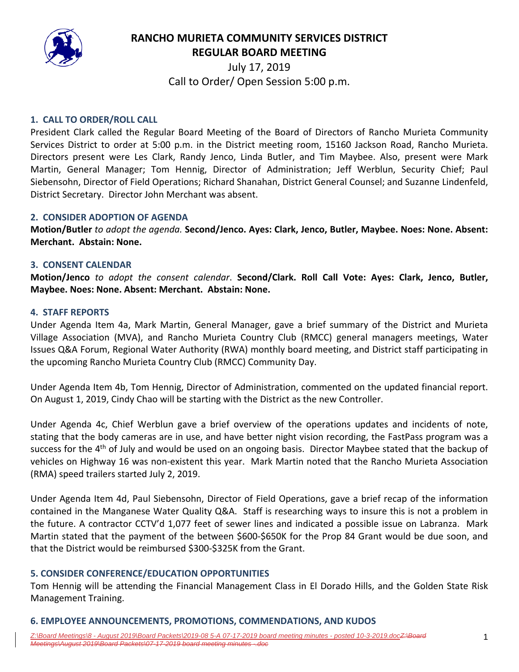

**RANCHO MURIETA COMMUNITY SERVICES DISTRICT REGULAR BOARD MEETING**

> July 17, 2019 Call to Order/ Open Session 5:00 p.m.

## **1. CALL TO ORDER/ROLL CALL**

President Clark called the Regular Board Meeting of the Board of Directors of Rancho Murieta Community Services District to order at 5:00 p.m. in the District meeting room, 15160 Jackson Road, Rancho Murieta. Directors present were Les Clark, Randy Jenco, Linda Butler, and Tim Maybee. Also, present were Mark Martin, General Manager; Tom Hennig, Director of Administration; Jeff Werblun, Security Chief; Paul Siebensohn, Director of Field Operations; Richard Shanahan, District General Counsel; and Suzanne Lindenfeld, District Secretary. Director John Merchant was absent.

## **2. CONSIDER ADOPTION OF AGENDA**

**Motion/Butler** *to adopt the agenda.* **Second/Jenco. Ayes: Clark, Jenco, Butler, Maybee. Noes: None. Absent: Merchant. Abstain: None.** 

#### **3. CONSENT CALENDAR**

**Motion/Jenco** *to adopt the consent calendar*. **Second/Clark. Roll Call Vote: Ayes: Clark, Jenco, Butler, Maybee. Noes: None. Absent: Merchant. Abstain: None.** 

#### **4. STAFF REPORTS**

Under Agenda Item 4a, Mark Martin, General Manager, gave a brief summary of the District and Murieta Village Association (MVA), and Rancho Murieta Country Club (RMCC) general managers meetings, Water Issues Q&A Forum, Regional Water Authority (RWA) monthly board meeting, and District staff participating in the upcoming Rancho Murieta Country Club (RMCC) Community Day.

Under Agenda Item 4b, Tom Hennig, Director of Administration, commented on the updated financial report. On August 1, 2019, Cindy Chao will be starting with the District as the new Controller.

Under Agenda 4c, Chief Werblun gave a brief overview of the operations updates and incidents of note, stating that the body cameras are in use, and have better night vision recording, the FastPass program was a success for the 4<sup>th</sup> of July and would be used on an ongoing basis. Director Maybee stated that the backup of vehicles on Highway 16 was non‐existent this year. Mark Martin noted that the Rancho Murieta Association (RMA) speed trailers started July 2, 2019.

Under Agenda Item 4d, Paul Siebensohn, Director of Field Operations, gave a brief recap of the information contained in the Manganese Water Quality Q&A. Staff is researching ways to insure this is not a problem in the future. A contractor CCTV'd 1,077 feet of sewer lines and indicated a possible issue on Labranza. Mark Martin stated that the payment of the between \$600‐\$650K for the Prop 84 Grant would be due soon, and that the District would be reimbursed \$300‐\$325K from the Grant.

## **5. CONSIDER CONFERENCE/EDUCATION OPPORTUNITIES**

Tom Hennig will be attending the Financial Management Class in El Dorado Hills, and the Golden State Risk Management Training.

## **6. EMPLOYEE ANNOUNCEMENTS, PROMOTIONS, COMMENDATIONS, AND KUDOS**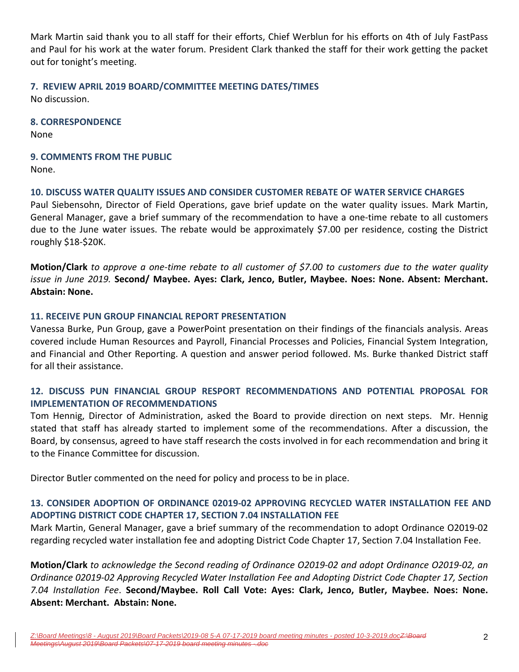Mark Martin said thank you to all staff for their efforts, Chief Werblun for his efforts on 4th of July FastPass and Paul for his work at the water forum. President Clark thanked the staff for their work getting the packet out for tonight's meeting.

# **7. REVIEW APRIL 2019 BOARD/COMMITTEE MEETING DATES/TIMES**

No discussion.

**8. CORRESPONDENCE**

None

**9. COMMENTS FROM THE PUBLIC**  None.

## **10. DISCUSS WATER QUALITY ISSUES AND CONSIDER CUSTOMER REBATE OF WATER SERVICE CHARGES**

Paul Siebensohn, Director of Field Operations, gave brief update on the water quality issues. Mark Martin, General Manager, gave a brief summary of the recommendation to have a one‐time rebate to all customers due to the June water issues. The rebate would be approximately \$7.00 per residence, costing the District roughly \$18‐\$20K.

Motion/Clark to approve a one-time rebate to all customer of \$7.00 to customers due to the water quality *issue in June 2019.* **Second/ Maybee. Ayes: Clark, Jenco, Butler, Maybee. Noes: None. Absent: Merchant. Abstain: None.** 

## **11. RECEIVE PUN GROUP FINANCIAL REPORT PRESENTATION**

Vanessa Burke, Pun Group, gave a PowerPoint presentation on their findings of the financials analysis. Areas covered include Human Resources and Payroll, Financial Processes and Policies, Financial System Integration, and Financial and Other Reporting. A question and answer period followed. Ms. Burke thanked District staff for all their assistance.

# **12. DISCUSS PUN FINANCIAL GROUP RESPORT RECOMMENDATIONS AND POTENTIAL PROPOSAL FOR IMPLEMENTATION OF RECOMMENDATIONS**

Tom Hennig, Director of Administration, asked the Board to provide direction on next steps. Mr. Hennig stated that staff has already started to implement some of the recommendations. After a discussion, the Board, by consensus, agreed to have staff research the costs involved in for each recommendation and bring it to the Finance Committee for discussion.

Director Butler commented on the need for policy and process to be in place.

## **13. CONSIDER ADOPTION OF ORDINANCE 02019‐02 APPROVING RECYCLED WATER INSTALLATION FEE AND ADOPTING DISTRICT CODE CHAPTER 17, SECTION 7.04 INSTALLATION FEE**

Mark Martin, General Manager, gave a brief summary of the recommendation to adopt Ordinance O2019‐02 regarding recycled water installation fee and adopting District Code Chapter 17, Section 7.04 Installation Fee.

Motion/Clark to acknowledge the Second reading of Ordinance O2019-02 and adopt Ordinance O2019-02, an *Ordinance 02019‐02 Approving Recycled Water Installation Fee and Adopting District Code Chapter 17, Section 7.04 Installation Fee*. **Second/Maybee. Roll Call Vote: Ayes: Clark, Jenco, Butler, Maybee. Noes: None. Absent: Merchant. Abstain: None.**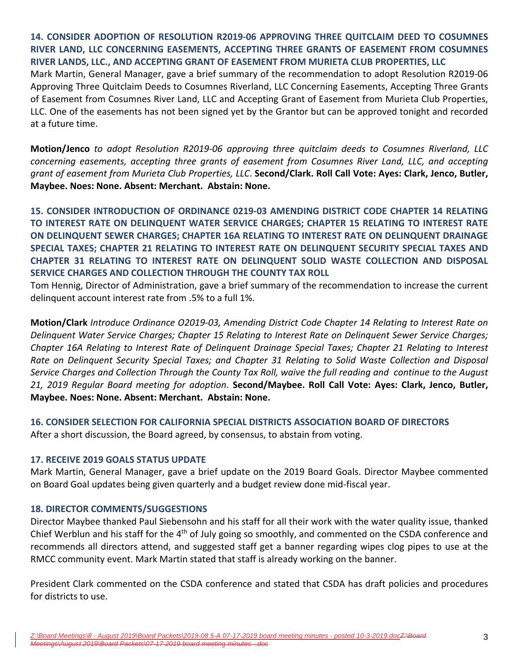**14. CONSIDER ADOPTION OF RESOLUTION R2019‐06 APPROVING THREE QUITCLAIM DEED TO COSUMNES RIVER LAND, LLC CONCERNING EASEMENTS, ACCEPTING THREE GRANTS OF EASEMENT FROM COSUMNES RIVER LANDS, LLC., AND ACCEPTING GRANT OF EASEMENT FROM MURIETA CLUB PROPERTIES, LLC**

Mark Martin, General Manager, gave a brief summary of the recommendation to adopt Resolution R2019‐06 Approving Three Quitclaim Deeds to Cosumnes Riverland, LLC Concerning Easements, Accepting Three Grants of Easement from Cosumnes River Land, LLC and Accepting Grant of Easement from Murieta Club Properties, LLC. One of the easements has not been signed yet by the Grantor but can be approved tonight and recorded at a future time.

**Motion/Jenco** *to adopt Resolution R2019‐06 approving three quitclaim deeds to Cosumnes Riverland, LLC concerning easements, accepting three grants of easement from Cosumnes River Land, LLC, and accepting grant of easement from Murieta Club Properties, LLC*. **Second/Clark. Roll Call Vote: Ayes: Clark, Jenco, Butler, Maybee. Noes: None. Absent: Merchant. Abstain: None.** 

**15. CONSIDER INTRODUCTION OF ORDINANCE 0219‐03 AMENDING DISTRICT CODE CHAPTER 14 RELATING TO INTEREST RATE ON DELINQUENT WATER SERVICE CHARGES; CHAPTER 15 RELATING TO INTEREST RATE ON DELINQUENT SEWER CHARGES; CHAPTER 16A RELATING TO INTEREST RATE ON DELINQUENT DRAINAGE SPECIAL TAXES; CHAPTER 21 RELATING TO INTEREST RATE ON DELINQUENT SECURITY SPECIAL TAXES AND CHAPTER 31 RELATING TO INTEREST RATE ON DELINQUENT SOLID WASTE COLLECTION AND DISPOSAL SERVICE CHARGES AND COLLECTION THROUGH THE COUNTY TAX ROLL**

Tom Hennig, Director of Administration, gave a brief summary of the recommendation to increase the current delinquent account interest rate from .5% to a full 1%.

**Motion/Clark** *Introduce Ordinance O2019‐03, Amending District Code Chapter 14 Relating to Interest Rate on Delinquent Water Service Charges; Chapter 15 Relating to Interest Rate on Delinquent Sewer Service Charges; Chapter 16A Relating to Interest Rate of Delinquent Drainage Special Taxes; Chapter 21 Relating to Interest Rate on Delinquent Security Special Taxes; and Chapter 31 Relating to Solid Waste Collection and Disposal* Service Charges and Collection Through the County Tax Roll, waive the full reading and continue to the August *21, 2019 Regular Board meeting for adoption*. **Second/Maybee. Roll Call Vote: Ayes: Clark, Jenco, Butler, Maybee. Noes: None. Absent: Merchant. Abstain: None.** 

**16. CONSIDER SELECTION FOR CALIFORNIA SPECIAL DISTRICTS ASSOCIATION BOARD OF DIRECTORS** After a short discussion, the Board agreed, by consensus, to abstain from voting.

## **17. RECEIVE 2019 GOALS STATUS UPDATE**

Mark Martin, General Manager, gave a brief update on the 2019 Board Goals. Director Maybee commented on Board Goal updates being given quarterly and a budget review done mid‐fiscal year.

## **18. DIRECTOR COMMENTS/SUGGESTIONS**

Director Maybee thanked Paul Siebensohn and his staff for all their work with the water quality issue, thanked Chief Werblun and his staff for the 4<sup>th</sup> of July going so smoothly, and commented on the CSDA conference and recommends all directors attend, and suggested staff get a banner regarding wipes clog pipes to use at the RMCC community event. Mark Martin stated that staff is already working on the banner.

President Clark commented on the CSDA conference and stated that CSDA has draft policies and procedures for districts to use.